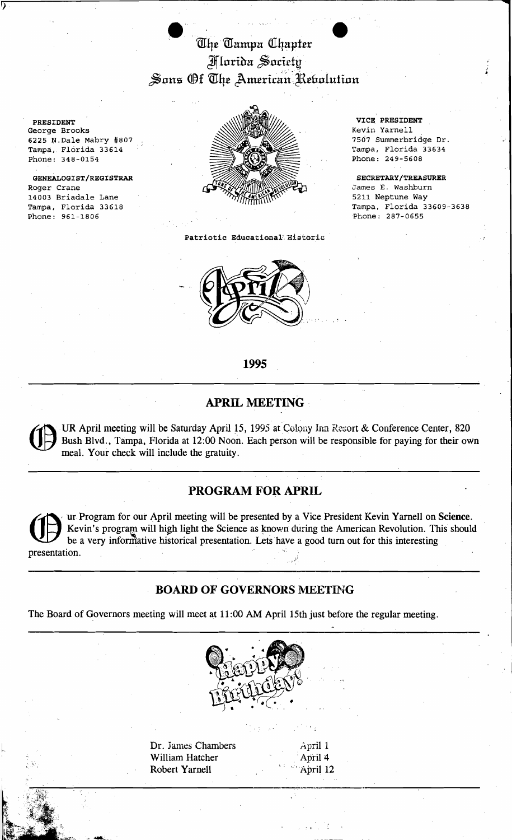The Tampa Chapter Mlarida Saciety Sons Of The American Rebolution

PRESIDENT George Brooks 6225 N.Dale Mabry #807 Tampa, Florida 33614 Phone: 348-0154

7

GENEALOGIST/REGISTRAR Roger Crane 14003 Briadale Lane Tampa, Florida 33618 Phone: 961-1806



Patriotic Educational Historic



VICE PRESIDENT Kevin Yarnell 7507 Summerbridge Dr. Tampa, Florida 33634 Phone: 249-5608

SECRETARY/TREASURER James E. Washburn 5211 Neptune Way Tampa, Florida 33609-3638 Phone: 287-0655

#### 1995

### **APRIL MEETING**

UR April meeting will be Saturday April 15, 1995 at Colony Inn Resort & Conference Center, 820 Bush Blvd., Tampa, Florida at 12:00 Noon. Each person will be responsible for paying for their own meal. Your check will include the gratuity.

### PROGRAM FOR APRIL

ur Program for our April meeting will be presented by a Vice President Kevin Yarnell on Science. Kevin's program will high light the Science as known during the American Revolution. This should be a very informative historical presentation. Lets have a good turn out for this interesting presentation.

### **BOARD OF GOVERNORS MEETING**

The Board of Governors meeting will meet at 11:00 AM April 15th just before the regular meeting.



Dr. James Chambers April 1 William Hatcher April 4 **Robert Yarnell** April 12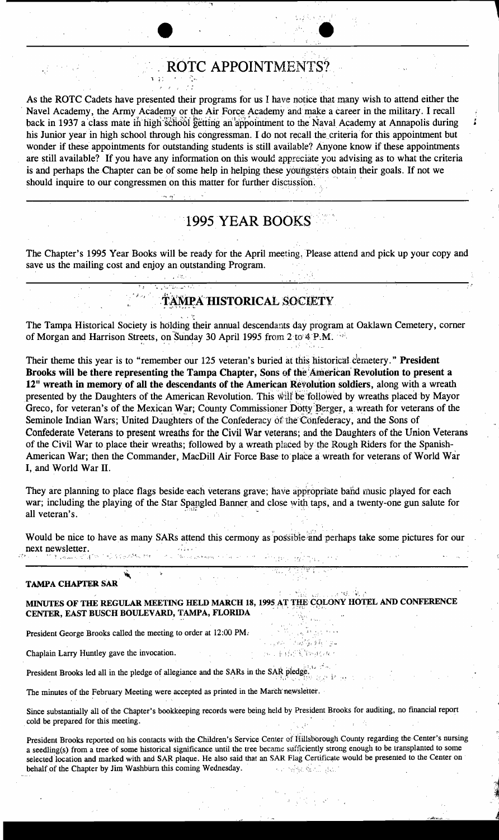## ROTC APPOINTMENTS?

As the ROTC Cadets have presented their programs for us I have notice that many wish to attend either the Navel Academy, the Army Academy or the Air Force Academy and make a career in the military. I recall back in 1937 a class mate in high school getting an appointment to the Naval Academy at Annapolis during his Junior year in high school through his congressman. I do not recall the criteria for this appointment but wonder if these appointments for outstanding students is still available? Anyone know if these appointments are still available? If you have any information on this would appreciate you advising as to what the criteria is and perhaps the Chapter can be of some help in helping these youngsters obtain their goals. If not we should inquire to our congressmen on this matter for further discussion.

## **1995 YEAR BOOKS**

The Chapter's 1995 Year Books will be ready for the April meeting. Please attend and pick up your copy and save us the mailing cost and enjoy an outstanding Program.

# TAMPA HISTORICAL SOCIETY

The Tampa Historical Society is holding their annual descendants day program at Oaklawn Cemetery, corner of Morgan and Harrison Streets, on Sunday 30 April 1995 from 2 to 4 P.M.

Their theme this year is to "remember our 125 veteran's buried at this historical cemetery." President Brooks will be there representing the Tampa Chapter, Sons of the American Revolution to present a 12" wreath in memory of all the descendants of the American Revolution soldiers, along with a wreath presented by the Daughters of the American Revolution. This will be followed by wreaths placed by Mayor Greco, for veteran's of the Mexican War; County Commissioner Dotty Berger, a wreath for veterans of the Seminole Indian Wars: United Daughters of the Confederacy of the Confederacy, and the Sons of Confederate Veterans to present wreaths for the Civil War veterans; and the Daughters of the Union Veterans of the Civil War to place their wreaths; followed by a wreath placed by the Rough Riders for the Spanish-American War; then the Commander, MacDill Air Force Base to place a wreath for veterans of World War I, and World War II.

They are planning to place flags beside each veterans grave; have appropriate band music played for each war; including the playing of the Star Spangled Banner and close with taps, and a twenty-one gun salute for all veteran's.

Would be nice to have as many SARs attend this cermony as possible and perhaps take some pictures for our next newsletter. **KONDONAMO PAL** أجوار ورأت بالخاروريين

#### **TAMPA CHAPTER SAR**

MINUTES OF THE REGULAR MEETING HELD MARCH 18, 1995 AT THE COLONY HOTEL AND CONFERENCE CENTER, EAST BUSCH BOULEVARD, TAMPA, FLORIDA

ែត្រូវធ្វើ<sub>ន</sub>ទ្ធផ្ទ<sub>ាច</sub>្នុ

.n. . 机间隙的原因

President George Brooks called the meeting to order at 12:00 PM.

Chaplain Larry Huntley gave the invocation.

President Brooks led all in the pledge of allegiance and the SARs in the SAR pledge

The minutes of the February Meeting were accepted as printed in the March newsletter.

Since substantially all of the Chapter's bookkeeping records were being held by President Brooks for auditing, no financial report cold be prepared for this meeting.

President Brooks reported on his contacts with the Children's Service Center of Hillsborough County regarding the Center's nursing a seedling(s) from a tree of some historical significance until the tree became sufficiently strong enough to be transplanted to some selected location and marked with and SAR plaque. He also said that an SAR Flag Certificate would be presented to the Center on behalf of the Chapter by Jim Washburn this coming Wednesday. **SPACE LEAD**